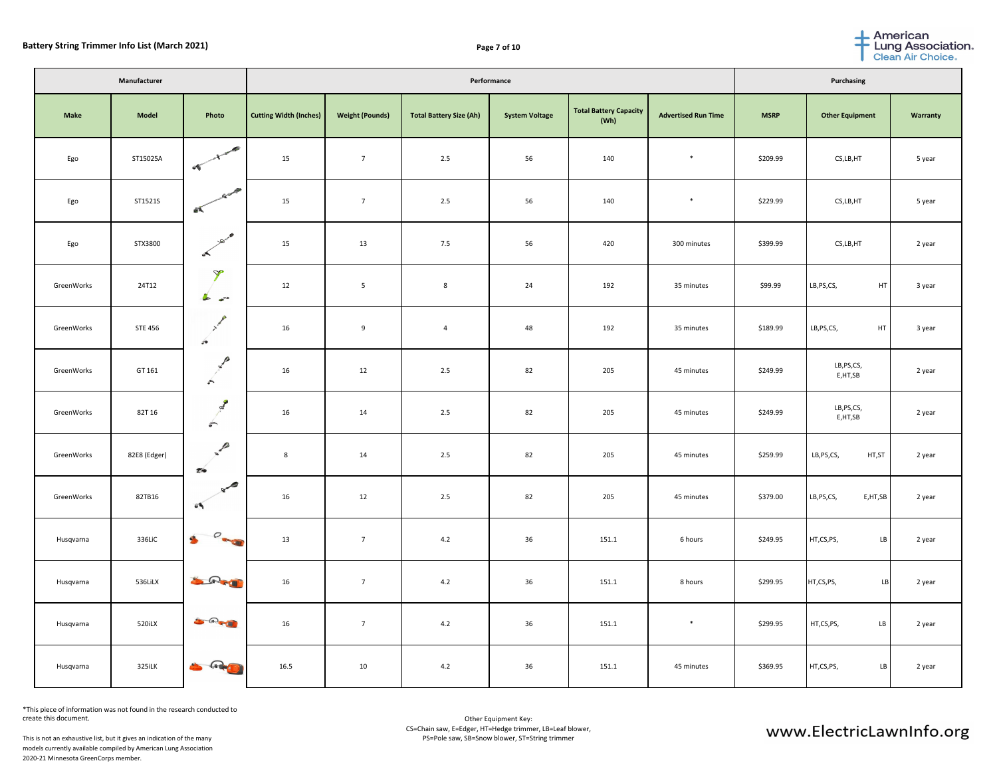|             | Manufacturer   |                                                     |                               |                        | <b>Purchasing</b>              |                       |                                       |                            |             |                          |                 |
|-------------|----------------|-----------------------------------------------------|-------------------------------|------------------------|--------------------------------|-----------------------|---------------------------------------|----------------------------|-------------|--------------------------|-----------------|
| <b>Make</b> | <b>Model</b>   | Photo                                               | <b>Cutting Width (Inches)</b> | <b>Weight (Pounds)</b> | <b>Total Battery Size (Ah)</b> | <b>System Voltage</b> | <b>Total Battery Capacity</b><br>(Wh) | <b>Advertised Run Time</b> | <b>MSRP</b> | <b>Other Equipment</b>   | <b>Warranty</b> |
| Ego         | ST15025A       | - 49                                                | 15                            | $\overline{7}$         | 2.5                            | 56                    | 140                                   | $\ast$                     | \$209.99    | CS,LB,HT                 | 5 year          |
| Ego         | ST1521S        | al,                                                 | 15                            | $\overline{7}$         | 2.5                            | 56                    | 140                                   | $\ast$                     | \$229.99    | CS,LB,HT                 | 5 year          |
| Ego         | STX3800        | ⊸Ω∕<br>$\overline{\phantom{a}}$                     | 15                            | 13                     | 7.5                            | 56                    | 420                                   | 300 minutes                | \$399.99    | CS,LB,HT                 | 2 year          |
| GreenWorks  | 24T12          | $\mathcal{D}$<br>$\blacktriangleright$<br>$\bullet$ | 12                            | $5\phantom{1}$         | 8                              | 24                    | 192                                   | 35 minutes                 | \$99.99     | LB, PS, CS,<br>HT        | 3 year          |
| GreenWorks  | <b>STE 456</b> | $\overline{z}$                                      | 16                            | 9                      | $\overline{4}$                 | 48                    | 192                                   | 35 minutes                 | \$189.99    | HT<br>LB, PS, CS,        | 3 year          |
| GreenWorks  | GT 161         | n<br>$\sum_{i=1}^{n}$                               | 16                            | 12                     | 2.5                            | 82                    | 205                                   | 45 minutes                 | \$249.99    | LB,PS,CS,<br>E,HT,SB     | 2 year          |
| GreenWorks  | 82T 16         | $\sum_{i=1}^{n}$                                    | 16                            | 14                     | 2.5                            | 82                    | 205                                   | 45 minutes                 | \$249.99    | LB,PS,CS,<br>E,HT,SB     | 2 year          |
| GreenWorks  | 82E8 (Edger)   | $\mathcal{P}$<br>$\mathscr{D}$<br>20                | 8                             | 14                     | 2.5                            | 82                    | 205                                   | 45 minutes                 | \$259.99    | HT,ST<br>LB,PS,CS,       | 2 year          |
| GreenWorks  | 82TB16         | $\sim$<br>$\bullet$                                 | 16                            | 12                     | 2.5                            | 82                    | 205                                   | 45 minutes                 | \$379.00    | LB, PS, CS,<br>E, HT, SB | 2 year          |
| Husqvarna   | 336LiC         | $\mathbf{S}$ $\mathbf{S}$                           | 13                            | $\overline{7}$         | 4.2                            | 36                    | 151.1                                 | 6 hours                    | \$249.95    | HT,CS,PS,<br>LB          | 2 year          |
| Husqvarna   | 536LiLX        | <b>SORTH</b>                                        | 16                            | $\overline{7}$         | 4.2                            | 36                    | 151.1                                 | 8 hours                    | \$299.95    | HT,CS,PS,<br><b>LB</b>   | 2 year          |
| Husqvarna   | 520iLX         | 20 R. P. 19                                         | 16                            | $\overline{7}$         | 4.2                            | 36                    | 151.1                                 | $\ast$                     | \$299.95    | HT,CS,PS,<br>LB          | 2 year          |
| Husqvarna   | 325iLK         | S Reg                                               | 16.5                          | 10                     | 4.2                            | 36                    | 151.1                                 | 45 minutes                 | \$369.95    | HT,CS,PS,<br>LB          | 2 year          |

\*This piece of information was not found in the research conducted to create this document.

This is not an exhaustive list, but it gives an indication of the many models currently available compiled by American Lung Association 2020-21 Minnesota GreenCorps member.



## www.ElectricLawnInfo.org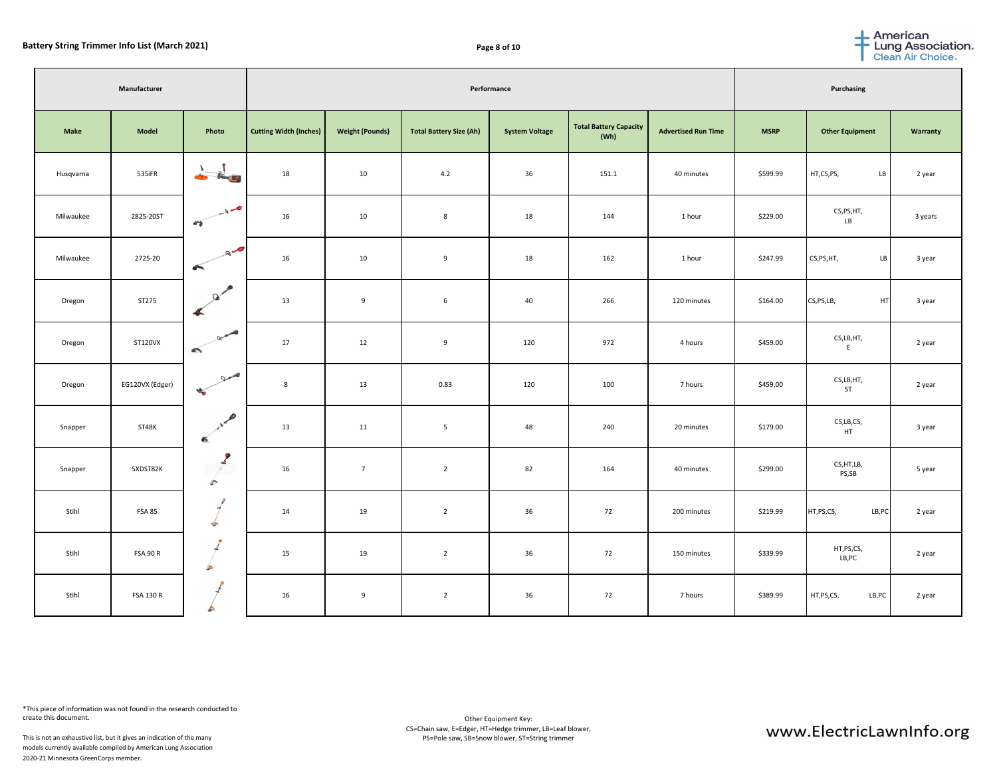|             | Manufacturer     |                                   | Performance                   |                        |                                |                       |                                |                            |             | <b>Purchasing</b>      |                 |  |  |
|-------------|------------------|-----------------------------------|-------------------------------|------------------------|--------------------------------|-----------------------|--------------------------------|----------------------------|-------------|------------------------|-----------------|--|--|
| <b>Make</b> | <b>Model</b>     | Photo                             | <b>Cutting Width (Inches)</b> | <b>Weight (Pounds)</b> | <b>Total Battery Size (Ah)</b> | <b>System Voltage</b> | Total Battery Capacity<br>(Wh) | <b>Advertised Run Time</b> | <b>MSRP</b> | <b>Other Equipment</b> | <b>Warranty</b> |  |  |
| Husqvarna   | 535iFR           | <b>Control</b>                    | 18                            | 10                     | 4.2                            | 36                    | 151.1                          | 40 minutes                 | \$599.99    | HT,CS,PS,<br>LB        | 2 year          |  |  |
| Milwaukee   | 2825-20ST        | $A^2$<br>$\bullet$                | 16                            | 10                     | 8                              | 18                    | 144                            | 1 hour                     | \$229.00    | CS,PS,HT,<br>LB        | 3 years         |  |  |
| Milwaukee   | 2725-20          | $Q = \sqrt{2}$                    | 16                            | 10                     | 9                              | 18                    | 162                            | 1 hour                     | \$247.99    | CS, PS, HT,<br>LB      | 3 year          |  |  |
| Oregon      | ST275            | $\infty$                          | 13                            | 9                      | $6\overline{6}$                | 40                    | 266                            | 120 minutes                | \$164.00    | CS, PS, LB,<br>HT      | 3 year          |  |  |
| Oregon      | <b>ST120VX</b>   | Drugger 3                         | 17                            | 12                     | 9                              | 120                   | 972                            | 4 hours                    | \$459.00    | CS,LB,HT,              | 2 year          |  |  |
| Oregon      | EG120VX (Edger)  | $Q_{\text{max}}$<br><b>CALCO</b>  | 8                             | 13                     | 0.83                           | 120                   | 100                            | 7 hours                    | \$459.00    | CS,LB,HT,<br>ST        | 2 year          |  |  |
| Snapper     | ST48K            | <b>COL</b>                        | 13                            | 11                     | 5 <sub>5</sub>                 | 48                    | 240                            | 20 minutes                 | \$179.00    | CS, LB, CS,<br>HT      | 3 year          |  |  |
| Snapper     | SXDST82K         | G.<br>$\sqrt{2}$<br>$\mathcal{E}$ | 16                            | $\overline{7}$         | $\overline{2}$                 | 82                    | 164                            | 40 minutes                 | \$299.00    | CS, HT, LB,<br>PS,SB   | 5 year          |  |  |
| Stihl       | <b>FSA 85</b>    | $\bullet$                         | 14                            | 19                     | $\overline{2}$                 | 36                    | 72                             | 200 minutes                | \$219.99    | LB, PC<br>HT,PS,CS,    | 2 year          |  |  |
| Stihl       | <b>FSA 90 R</b>  |                                   | 15                            | 19                     | $\overline{2}$                 | 36                    | 72                             | 150 minutes                | \$339.99    | HT,PS,CS,<br>LB,PC     | 2 year          |  |  |
| Stihl       | <b>FSA 130 R</b> |                                   | 16                            | 9                      | $\overline{2}$                 | 36                    | 72                             | 7 hours                    | \$389.99    | HT, PS, CS,<br>LB, PC  | 2 year          |  |  |

\*This piece of information was not found in the research conducted to create this document.

This is not an exhaustive list, but it gives an indication of the many models currently available compiled by American Lung Association 2020-21 Minnesota GreenCorps member.



## www.ElectricLawnInfo.org